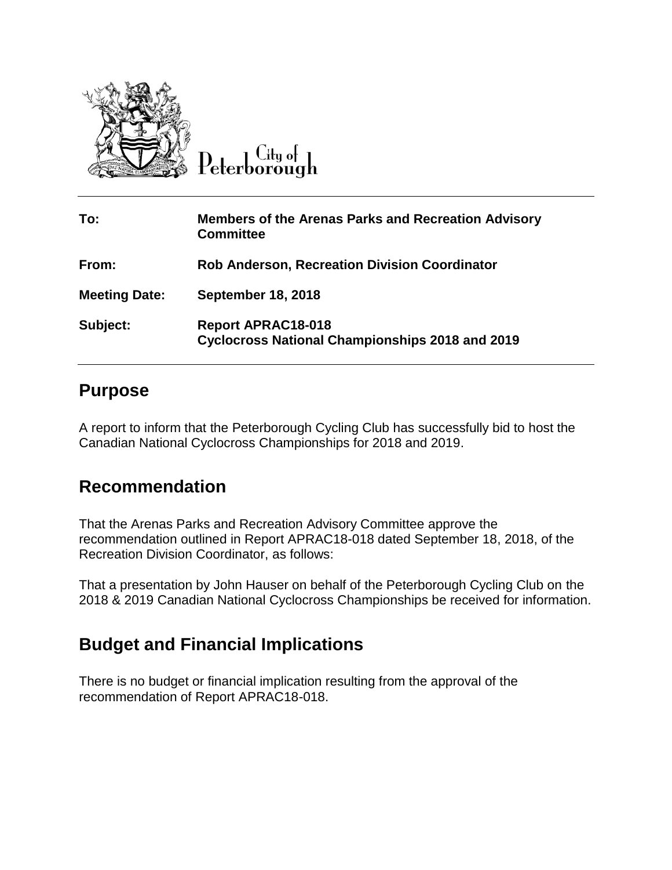

Peterborough

| To:                  | <b>Members of the Arenas Parks and Recreation Advisory</b><br><b>Committee</b>      |
|----------------------|-------------------------------------------------------------------------------------|
| From:                | <b>Rob Anderson, Recreation Division Coordinator</b>                                |
| <b>Meeting Date:</b> | <b>September 18, 2018</b>                                                           |
| Subject:             | <b>Report APRAC18-018</b><br><b>Cyclocross National Championships 2018 and 2019</b> |

## **Purpose**

A report to inform that the Peterborough Cycling Club has successfully bid to host the Canadian National Cyclocross Championships for 2018 and 2019.

## **Recommendation**

That the Arenas Parks and Recreation Advisory Committee approve the recommendation outlined in Report APRAC18-018 dated September 18, 2018, of the Recreation Division Coordinator, as follows:

That a presentation by John Hauser on behalf of the Peterborough Cycling Club on the 2018 & 2019 Canadian National Cyclocross Championships be received for information.

## **Budget and Financial Implications**

There is no budget or financial implication resulting from the approval of the recommendation of Report APRAC18-018.